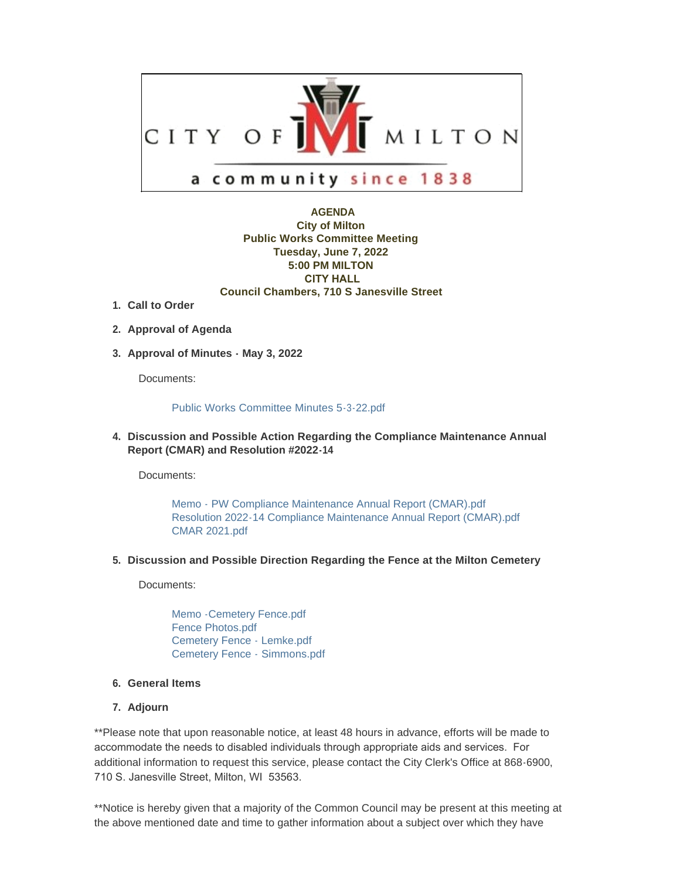

## **AGENDA City of Milton Public Works Committee Meeting Tuesday, June 7, 2022 5:00 PM MILTON CITY HALL Council Chambers, 710 S Janesville Street**

- **Call to Order 1.**
- **Approval of Agenda 2.**
- **Approval of Minutes May 3, 2022 3.**

Documents:

## [Public Works Committee Minutes 5-3-22.pdf](https://www.milton-wi.gov/AgendaCenter/ViewFile/Item/9955?fileID=7748)

**Discussion and Possible Action Regarding the Compliance Maintenance Annual 4. Report (CMAR) and Resolution #2022-14**

Documents:

[Memo - PW Compliance Maintenance Annual Report \(CMAR\).pdf](https://www.milton-wi.gov/AgendaCenter/ViewFile/Item/9953?fileID=7750) [Resolution 2022-14 Compliance Maintenance Annual Report \(CMAR\).pdf](https://www.milton-wi.gov/AgendaCenter/ViewFile/Item/9953?fileID=7742) [CMAR 2021.pdf](https://www.milton-wi.gov/AgendaCenter/ViewFile/Item/9953?fileID=7743)

**Discussion and Possible Direction Regarding the Fence at the Milton Cemetery 5.**

Documents:

[Memo -Cemetery Fence.pdf](https://www.milton-wi.gov/AgendaCenter/ViewFile/Item/9954?fileID=7747) [Fence Photos.pdf](https://www.milton-wi.gov/AgendaCenter/ViewFile/Item/9954?fileID=7746) [Cemetery Fence - Lemke.pdf](https://www.milton-wi.gov/AgendaCenter/ViewFile/Item/9954?fileID=7744) [Cemetery Fence - Simmons.pdf](https://www.milton-wi.gov/AgendaCenter/ViewFile/Item/9954?fileID=7745)

## **General Items 6.**

**Adjourn 7.**

\*\*Please note that upon reasonable notice, at least 48 hours in advance, efforts will be made to accommodate the needs to disabled individuals through appropriate aids and services. For additional information to request this service, please contact the City Clerk's Office at 868-6900, 710 S. Janesville Street, Milton, WI 53563.

\*\*Notice is hereby given that a majority of the Common Council may be present at this meeting at the above mentioned date and time to gather information about a subject over which they have